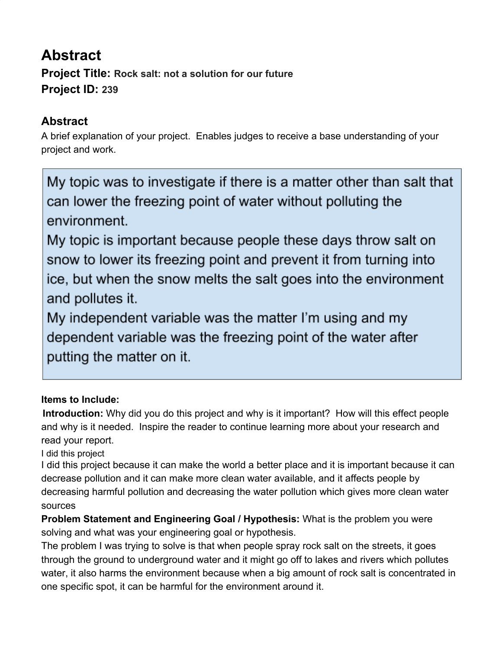## **Abstract Project Title: Rock salt: not a solution for our future Project ID: 239**

## **Abstract**

A brief explanation of your project. Enables judges to receive a base understanding of your project and work.

My topic was to investigate if there is a matter other than salt that can lower the freezing point of water without polluting the environment.

My topic is important because people these days throw salt on snow to lower its freezing point and prevent it from turning into ice, but when the snow melts the salt goes into the environment and pollutes it.

My independent variable was the matter I'm using and my dependent variable was the freezing point of the water after putting the matter on it.

## **Items to Include:**

**Introduction:** Why did you do this project and why is it important? How will this effect people and why is it needed. Inspire the reader to continue learning more about your research and read your report.

I did this project

I did this project because it can make the world a better place and it is important because it can decrease pollution and it can make more clean water available, and it affects people by decreasing harmful pollution and decreasing the water pollution which gives more clean water sources

**Problem Statement and Engineering Goal / Hypothesis:** What is the problem you were solving and what was your engineering goal or hypothesis.

The problem I was trying to solve is that when people spray rock salt on the streets, it goes through the ground to underground water and it might go off to lakes and rivers which pollutes water, it also harms the environment because when a big amount of rock salt is concentrated in one specific spot, it can be harmful for the environment around it.